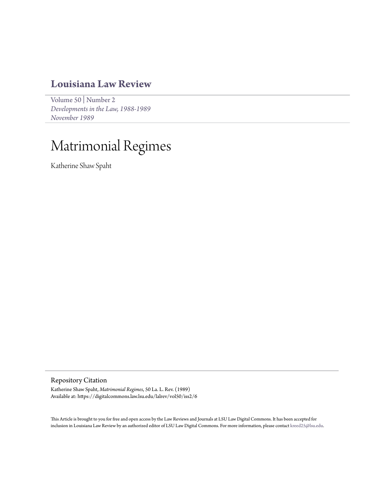# **[Louisiana Law Review](https://digitalcommons.law.lsu.edu/lalrev)**

[Volume 50](https://digitalcommons.law.lsu.edu/lalrev/vol50) | [Number 2](https://digitalcommons.law.lsu.edu/lalrev/vol50/iss2) *[Developments in the Law, 1988-1989](https://digitalcommons.law.lsu.edu/lalrev/vol50/iss2) [November 1989](https://digitalcommons.law.lsu.edu/lalrev/vol50/iss2)*

# Matrimonial Regimes

Katherine Shaw Spaht

Repository Citation

Katherine Shaw Spaht, *Matrimonial Regimes*, 50 La. L. Rev. (1989) Available at: https://digitalcommons.law.lsu.edu/lalrev/vol50/iss2/6

This Article is brought to you for free and open access by the Law Reviews and Journals at LSU Law Digital Commons. It has been accepted for inclusion in Louisiana Law Review by an authorized editor of LSU Law Digital Commons. For more information, please contact [kreed25@lsu.edu](mailto:kreed25@lsu.edu).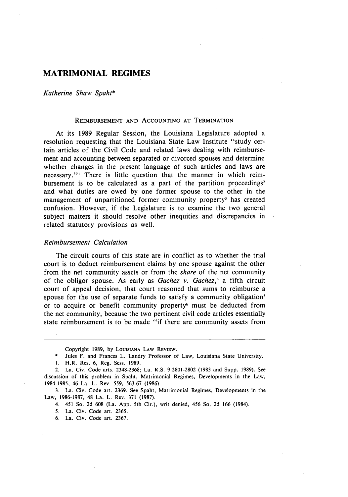# **MATRIMONIAL REGIMES**

#### *Katherine Shaw Spaht\**

#### **REIMBURSEMENT AND ACCOUNTING AT** TERMINATION

At its 1989 Regular Session, the Louisiana Legislature adopted a resolution requesting that the Louisiana State Law Institute "study certain articles of the Civil Code and related laws dealing with reimbursement and accounting between separated or divorced spouses and determine whether changes in the present language of such articles and laws are necessary."' There is little question that the manner in which reimbursement is to be calculated as a part of the partition proceedings<sup>2</sup> and what duties are owed **by** one former spouse to the other in the management of unpartitioned former community property<sup>3</sup> has created confusion. However, if the Legislature is to examine the two general subject matters it should resolve other inequities and discrepancies in related statutory provisions as well.

### *Reimbursement Calculation*

The circuit courts of this state are in conflict as to whether the trial court is to deduct reimbursement claims by one spouse against the other from the net community assets or from the *share* of the net community of the obligor spouse. As early as *Gachez v. Gachez,4* a fifth circuit court of appeal decision, that court reasoned that sums to reimburse a spouse for the use of separate funds to satisfy a community obligation<sup>5</sup> or to acquire or benefit community property<sup>6</sup> must be deducted from the net community, because the two pertinent civil code articles essentially state reimbursement is to be made "if there are community assets from

4. 451 So. 2d **608** (La. App. 5th Cir.), writ denied, 456 So. 2d 166 (1984).

5. La. Civ. Code art. 2365.

**.6.** La. Civ. Code art. **2367.**

Copyright **1989, by** LoUSIANA LAW REVIEW.

<sup>\*</sup> Jules F. and Frances L. Landry Professor of Law, Louisiana State University.

**<sup>1.</sup>** H.R. Res. **6,** Reg. Sess. 1989.

<sup>2.</sup> La. Civ. Code arts. 2348-2368; La. R.S. 9:2801-2802 **(1983** and Supp. 1989). See discussion of this problem in Spaht, Matrimonial Regimes, Developments in the Law, 1984-1985, 46 La. L. Rev. **559,** 563-67 (1986).

**<sup>3.</sup>** La. Civ. Code art. 2369. See Spaht, Matrimonial Regimes, Developments in the Law, **1986-1987,** 48 La. L. Rev. **371 (1987).**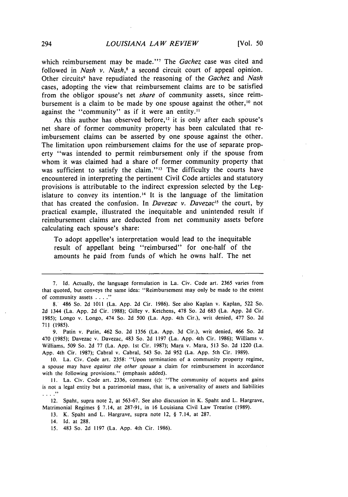which reimbursement may be made."<sup>7</sup> The *Gachez* case was cited and followed in *Nash v. Nash,8* a second circuit court of appeal opinion. Other circuits<sup>9</sup> have repudiated the reasoning of the *Gachez* and *Nash* cases, adopting the view that reimbursement claims are to be satisfied from the obligor spouse's net *share* of community assets, since reimbursement is a claim to be made by one spouse against the other,  $10$  not against the "community" as if it were an entity."

As this author has observed before,<sup>12</sup> it is only after each spouse's net share of former community property has been calculated that reimbursement claims can be asserted by one spouse against the other. The limitation upon reimbursement claims for the use of separate property "was intended to permit reimbursement only if the spouse from whom it was claimed had a share of former community property that was sufficient to satisfy the claim."<sup>13</sup> The difficulty the courts have encountered in interpreting the pertinent Civil Code articles and statutory provisions is attributable to the indirect expression selected by the Legislature to convey its intention.<sup>14</sup> It is the language of the limitation that has created the confusion. In *Davezac v. Davezac*<sup>15</sup> the court, by practical example, illustrated the inequitable and unintended result if reimbursement claims are deducted from net community assets before calculating each spouse's share:

To adopt appellee's interpretation would lead to the inequitable result of appellant being "reimbursed" for one-half of the amounts he paid from funds of which he owns half. The net

9. Patin v. Patin, 462 So. 2d 1356 (La. App. **3d** Cir.), writ denied, 466 So. 2d 470 (1985); Davezac v. Davezac, 483 So. 2d **1197** (La. App. 4th Cir. 1986); Williams v. Williams, 509 So. **2d** 77 (La. App. **1st** Cir. 1987); Mara v. Mara, **513** So. **2d** 1220 (La. App. 4th Cir. 1987); Cabral v. Cabral, 543 So. **2d** 952 (La. App. 5th Cir. 1989).

**10.** La. Civ. Code art. 2358: "Upon termination of a community property regime, a spouse may have *against the other spouse* a claim for reimbursement in accordance with the following provisions." (emphasis added).

**11.** La. Civ. Code art. 2336, comment (c): "The community of acquets and gains is not a legal entity but a patrimonial mass, that is, a universality of assets and liabilities  $\ldots$  .  $\mathcal{I}$ 

12. Spaht, supra note 2, at 563-67. See also discussion in K. Spaht and L. Hargrave, Matrimonial Regimes § 7.14, at 287-91, in 16 Louisiana Civil Law Treatise (1989).

13. K. Spaht and L. Hargrave, supra note 12, § 7.14, at 287.

14. Id. at 288.

<sup>7.</sup> Id. Actually, the language formulation in La. Civ. Code art. 2365 varies from that quoted, but conveys the same idea: "Reimbursement may only be made to the extent of community assets **....** "

<sup>8. 486</sup> So. 2d 1011 (La. App. 2d Cir. 1986). See also Kaplan v. Kaplan, 522 So. 2d 1344 (La. App. 2d Cir. 1988); Gilley v. Ketchens, 478 So. 2d 683 (La. App. 2d Cir. 1985); Longo v. Longo, 474 So. 2d 500 (La. App. 4th Cir.), writ denied, 477 So. 2d 711 (1985).

*<sup>15.</sup>* 483 So. 2d 1197 (La. App. 4th Cir. 1986).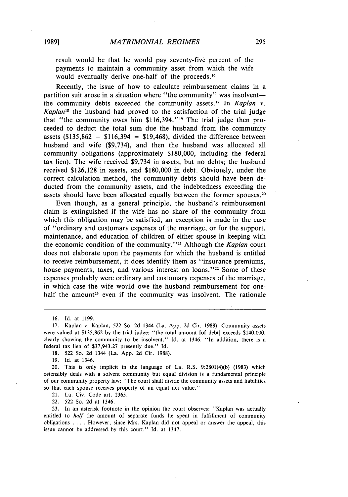**1989]**

result would be that he would pay seventy-five percent of the payments to maintain a community asset from which the wife would eventually derive one-half of the proceeds.<sup>16</sup>

Recently, the issue of how to calculate reimbursement claims in a partition suit arose in a situation where "the community" was insolventthe community debts exceeded the community assets.<sup>17</sup> In *Kaplan v*. *Kaplan8* the husband had proved to the satisfaction of the trial judge that "the community owes him  $$116,394."$ <sup>19</sup> The trial judge then proceeded to deduct the total sum due the husband from the community assets (\$135,862 - \$116,394 **=** \$19,468), divided the difference between husband and wife (\$9,734), and then the husband was allocated all community obligations (approximately \$180,000, including the federal tax lien). The wife received \$9,734 in assets, but no debts; the husband received \$126,128 in assets, and \$180,000 in debt. Obviously, under the correct calculation method, the community debts should have been deducted from the community assets, and the indebtedness exceeding the assets should have been allocated equally between the former spouses.20

Even though, as a general principle, the husband's reimbursement claim is extinguished if the wife has no share of the community from which this obligation may be satisfied, an exception is made in the case of "ordinary and customary expenses of the marriage, or for the support, maintenance, and education of children of either spouse in keeping with the economic condition of the community."<sup>21</sup> Although the *Kaplan* court does not elaborate upon the payments for which the husband is entitled to receive reimbursement, it does identify them as "insurance premiums, house payments, taxes, and various interest on loans."<sup>22</sup> Some of these expenses probably were ordinary and customary expenses of the marriage, in which case the wife would owe the husband reimbursement for onehalf the amount<sup>23</sup> even if the community was insolvent. The rationale

19. Id. at 1346.

21. La. Civ. Code art. 2365.

22. 522 So. 2d at 1346.

23. In an asterisk footnote in the opinion the court observes: "Kaplan was actually entitled to *half* the amount of separate funds he spent in fulfillment of community obligations .... However, since Mrs. Kaplan did not appeal or answer the appeal, this issue cannot be addressed by this court." Id. at 1347.

<sup>16.</sup> Id. at 1199.

<sup>17.</sup> Kaplan v. Kaplan, 522 So. 2d 1344 (La. App. 2d Cir. 1988). Community assets were valued at \$135,862 by the trial judge; "the total amount [of debt] exceeds \$140,000, clearly showing the community to be insolvent." Id. at 1346. "In addition, there is a federal tax lien of \$37,943.27 presently due." Id.

<sup>18. 522</sup> So. 2d 1344 (La. App. 2d Cir. 1988).

<sup>20.</sup> This is only implicit in the language of La. R.S. 9:2801(4)(b) (1983) which ostensibly deals with a solvent community but equal division is a fundamental principle of our community property law: "The court shall divide the community assets and liabilities so that each spouse receives property of an equal net value."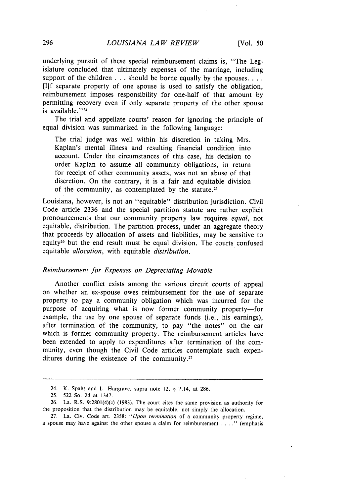underlying pursuit of these special reimbursement claims is, "The Legislature concluded that ultimately expenses of the marriage, including support of the children  $\dots$  should be borne equally by the spouses.... [If separate property of one spouse is used to satisfy the obligation, reimbursement imposes responsibility for one-half of that amount by permitting recovery even if only separate property of the other spouse is available." $24$ 

The trial and appellate courts' reason for ignoring the principle of equal division was summarized in the following language:

The trial judge was well within his discretion in taking Mrs. Kaplan's mental illness and resulting financial condition into account. Under the circumstances of this case, his decision to order Kaplan to assume all community obligations, in return for receipt of other community assets, was not an abuse of that discretion. On the contrary, it is a fair and equitable division of the community, as contemplated by the statute.<sup>25</sup>

Louisiana, however, is not an "equitable" distribution jurisdiction. Civil Code article 2336 and the special partition statute are rather explicit pronouncements that our community property law requires *equal,* not equitable, distribution. The partition process, under an aggregate theory that proceeds by allocation of assets and liabilities, may be sensitive to equity 6 but the end result must be equal division. The courts confused equitable *allocation,* with equitable *distribution.*

## *Reimbursement for Expenses on Depreciating Movable*

Another conflict exists among the various circuit courts of appeal on whether an ex-spouse owes reimbursement for the use of separate property to pay a community obligation which was incurred for the purpose of acquiring what is now former community property-for example, the use by one spouse of separate funds (i.e., his earnings), after termination of the community, to pay "the notes" on the car which is former community property. The reimbursement articles have been extended to apply to expenditures after termination of the community, even though the Civil Code articles contemplate such expenditures during the existence of the community.<sup>27</sup>

<sup>24.</sup> K. Spaht and L. Hargrave, supra note 12, § 7.14, at 286.

<sup>25. 522</sup> So. 2d at 1347.

<sup>26.</sup> La. R.S. 9:2801(4)(c) (1983). The court cites the same provision as authority for the proposition that the distribution may be equitable, not simply the allocation.

<sup>27.</sup> La. Civ. Code art. 2358: *"Upon termination* of a community property regime, a spouse may have against the other spouse a claim for reimbursement **....** (emphasis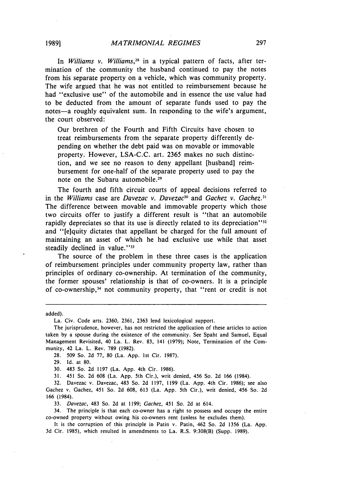In *Williams v. Williams,28* in a typical pattern of facts, after termination of the community the husband continued to pay the notes from his separate property on a vehicle, which was community property. The wife argued that he was not entitled to reimbursement because he had "exclusive use" of the automobile and in essence the use value had to be deducted from the amount of separate funds used to pay the notes-a roughly equivalent sum. In responding to the wife's argument, the court observed:

Our brethren of the Fourth and Fifth Circuits have chosen to treat reimbursements from the separate property differently depending on whether the debt paid was on movable or immovable property. However, LSA-C.C. art. 2365 makes no such distinction, and we see no reason to deny appellant [husband] reimbursement for one-half of the separate property used to pay the note on the Subaru automobile.<sup>29</sup>

The fourth and fifth circuit courts of appeal decisions referred to in the *Williams* case are *Davezac v. Davezac*<sup>30</sup> and *Gachez v. Gachez.*<sup>31</sup> The difference between movable and immovable property which those two circuits offer to justify a different result is "that an automobile rapidly depreciates so that its use is directly related to its depreciation"<sup>32</sup> and "[e]quity dictates that appellant be charged for the full amount of maintaining an asset of which he had exclusive use while that asset steadily declined in value."<sup>33</sup>

The source of the problem in these three cases is the application of reimbursement principles under community property law, rather than principles of ordinary co-ownership. At termination of the community, the former spouses' relationship is that of co-owners. It is a principle of co-ownership, 34 not community property, that "rent or credit is not

added).

La. Civ. Code arts. 2360, 2361, 2363 lend lexicological support.

The jurisprudence, however, has not restricted the application of these articles to action taken by a spouse during the existence of the community. See Spaht and Samuel, Equal Management Revisited, 40 La. L. Rev. 83, 141 (1979); Note, Termination of the Community, 42 La. L. Rev. 789 (1982).

28. 509 So. 2d 77, 80 (La. App. 1st Cir. 1987).

29. Id. at 80.

30. 483 So. 2d 1197 (La. App. 4th Cir. 1986).

31. 451 So. 2d 608 (La. App. 5th Cir.), writ denied, 456 So. 2d 166 (1984).

32. Davezac v. Davezac, 483 So. 2d 1197, 1199 (La. App. 4th Cir. 1986); see also Gachez v. Gachez, 451 So. 2d 608, 613 (La. App. 5th Cir.), writ denied, 456 So. 2d 166 (1984).

33. Davezac, 483 So. 2d at 1199; Gachez, 451 So. 2d at 614.

34. The principle is that each co-owner has a right to possess and occupy the entire co-owned property without owing his co-owners rent (unless he excludes them).

It is the corruption of this principle in Patin v. Patin, 462 So. 2d 1356 (La. App. 3d Cir. 1985), which resulted in amendments to La. R.S. 9:308(B) (Supp. 1989).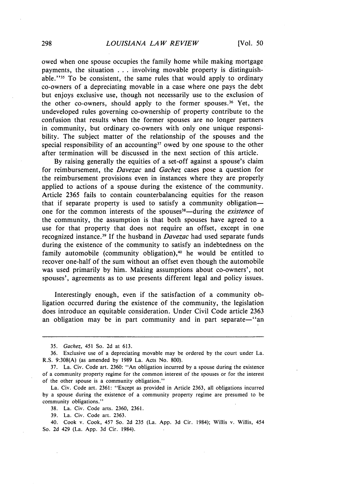owed when one spouse occupies the family home while making mortgage payments, the situation ... involving movable property is distinguishable."<sup>35</sup> To be consistent, the same rules that would apply to ordinary co-owners of a depreciating movable in a case where one pays the debt but enjoys exclusive use, though not necessarily use to the exclusion of the other co-owners, should apply to the former spouses.<sup>36</sup> Yet, the undeveloped rules governing co-ownership of property contribute to the confusion that results when the former spouses are no longer partners in community, but ordinary co-owners with only one unique responsibility. The subject matter of the relationship of the spouses and the special responsibility of an accounting<sup>37</sup> owed by one spouse to the other after termination will be discussed in the next section of this article.

By raising generally the equities of a set-off against a spouse's claim for reimbursement, the *Davezac* and *Gachez* cases pose a question for the reimbursement provisions even in instances where they are properly applied to actions of a spouse during the existence of the community. Article 2365 fails to contain counterbalancing equities for the reason that if separate property is used to satisfy a community obligationone for the common interests of the spouses<sup>38</sup>—during the existence of the community, the assumption is that both spouses have agreed to a use for that property that does not require an offset, except in one recognized instance.<sup>3</sup> 9 If the husband in *Davezac* had used separate funds during the existence of the community to satisfy an indebtedness on the family automobile (community obligation), $40$  he would be entitled to recover one-half of the sum without an offset even though the automobile was used primarily by him. Making assumptions about co-owners', not spouses', agreements as to use presents different legal and policy issues.

Interestingly enough, even if the satisfaction of a community obligation occurred during the existence of the community, the legislation does introduce an equitable consideration. Under Civil Code article 2363 an obligation may be in part community and in part separate—"an

38. La. Civ. Code arts. 2360, 2361.

39. La. Civ. Code art. 2363.

40. Cook v. Cook, 457 So. 2d 235 (La. App. 3d Cir. 1984); Willis v. Willis, 454 So. 2d 429 (La. App. 3d Cir. 1984).

<sup>35.</sup> Gachez, 451 So. 2d at 613.

<sup>36.</sup> Exclusive use of a depreciating movable may be ordered by the court under La. R.S. 9:308(A) (as amended by 1989 La. Acts No. 800).

<sup>37.</sup> La. Civ. Code art. 2360: "An obligation incurred by a spouse during the existence of a community property regime for the common interest of the spouses or for the interest of the other spouse is a community obligation."

La. Civ. Code art. 2361: "Except as provided in Article 2363, all obligations incurred by a spouse during the existence of a community property regime are presumed to be community obligations."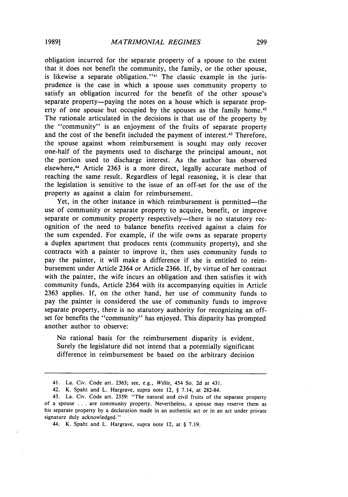obligation incurred for the separate property of a spouse to the extent that it does not benefit the community, the family, or the other spouse, is likewise a separate obligation."<sup>41</sup> The classic example in the jurisprudence is the case in which a spouse uses community property to satisfy an obligation incurred for the benefit of the other spouse's separate property--paying the notes on a house which is separate property of one spouse but occupied by the spouses as the family home.<sup>42</sup> The rationale articulated in the decisions is that use of the property by the "community" is an enjoyment of the fruits of separate property and the cost of the benefit included the payment of interest.<sup>43</sup> Therefore the spouse against whom reimbursement is sought may only recover one-half of the payments used to discharge the principal amount, not the portion used to discharge interest. As the author has observed elsewhere,<sup>44</sup> Article 2363 is a more direct, legally accurate method of reaching the same result. Regardless of legal reasoning, it is clear that the legislation is sensitive to the issue of an off-set for the use of the property as against a claim for reimbursement.

Yet, in the other instance in which reimbursement is permitted—the use of community or separate property to acquire, benefit, or improve separate or community property respectively—there is no statutory recognition of the need to balance benefits received against a claim for the sum expended. For example, if the wife owns as separate property a duplex apartment that produces rents (community property), and she contracts with a painter to improve it, then uses community funds to pay the painter, it will make a difference if she is entitled to reimbursement under Article 2364 or Article 2366. If, by virtue of her contract with the painter, the wife incurs an obligation and then satisfies it with community funds, Article 2364 with its accompanying equities in Article 2363 applies. If, on the other hand, her use of community funds to pay the painter is considered the use of community funds to improve separate property, there is no statutory authority for recognizing an offset for benefits the "community" has enjoyed. This disparity has prompted another author to observe:

No rational basis for the reimbursement disparity is evident. Surely the legislature did not intend that a potentially significant difference in reimbursement be based on the arbitrary decision

<sup>41.</sup> La. Civ. Code art. 2363; see, e.g., *Willis,* 454 So. 2d at 431.

<sup>42.</sup> K. Spaht and L. Hargrave, supra note 12, § 7.14, at 282-84.

<sup>43.</sup> La. Civ. Code art. 2339: "The natural and civil fruits of the separate property of a spouse ... are community property. Nevertheless, a spouse may reserve them as his separate property by a declaration made in an authentic act or in an act under private signature duly acknowledged."

<sup>44.</sup> K. Spaht and L. Hargrave, supra note 12, at § 7.19.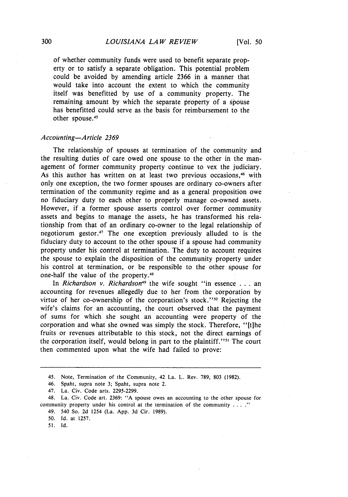of whether community funds were used to benefit separate property or to satisfy a separate obligation. This potential problem could be avoided by amending article 2366 in a manner that would take into account the extent to which the community itself was benefitted by use of a community property. The remaining amount by which the separate property of a spouse has benefitted could serve as the basis for reimbursement to the other spouse.<sup>45</sup>

#### *Accoiunting-Article 2369*

The relationship of spouses at termination of the community and the resulting duties of care owed one spouse to the other in the management of former community property continue to vex the judiciary. As this author has written on at least two previous occasions,<sup>46</sup> with only one exception, the two former spouses are ordinary co-owners after termination of the community regime and as a general proposition owe no fiduciary duty to each other to properly manage co-owned assets. However, if a former spouse asserts control over former community assets and begins to manage the assets, he has transformed his relationship from that of an ordinary co-owner to the legal relationship of negotiorum gestor.<sup>47</sup> The one exception previously alluded to is the fiduciary duty to account to the other spouse if a spouse had community property under his control at termination. The duty to account requires the spouse to explain the disposition of the community property under his control at termination, or be responsible to the other spouse for one-half the value of the property.<sup>48</sup>

In *Richardson v. Richardson49* the wife sought "in essence **.** . . an accounting for revenues allegedly due to her from the corporation **by** virtue of her co-ownership of the corporation's stock."<sup>50</sup> Rejecting the wife's claims for an accounting, the court observed that the payment of sums for which she sought an accounting were property of the corporation and what she owned was simply the stock. Therefore, "[t]he fruits or revenues attributable to this stock, not the direct earnings of the corporation itself, would belong in part to the plaintiff."<sup>51</sup> The court then commented upon what the wife had failed to prove:

46. Spaht, supra note 3; Spaht, supra note 2.

49. 540 So. 2d 1254 (La. App. 3d Cir. 1989).

**50. Id.** at **1257.**

51. **Id.**

<sup>45.</sup> Note, Termination of the Community, 42 La. L. Rev. **789, 803** (1982).

<sup>47.</sup> La. Civ. Code arts. 2295-2299.

<sup>48.</sup> La. Civ. Code art. 2369: "A spouse owes an accounting to the other spouse for community property under his control at the termination of the community  $\dots$ .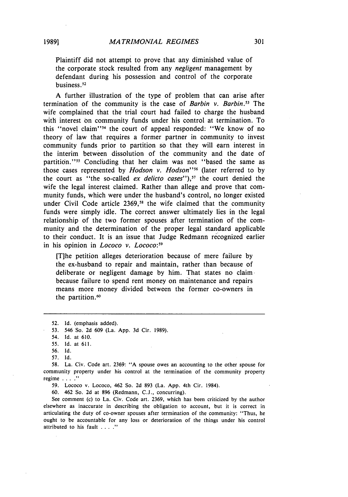Plaintiff did not attempt to prove that any diminished value of the corporate stock resulted from any *negligent* management by defendant during his possession and control of the corporate business.<sup>52</sup>

A further illustration of the type of problem that can arise after termination of the community is the case of *Barbin v. Barbin.53* The wife complained that the trial court had failed to charge the husband with interest on community funds under his control at termination. To this "novel claim"<sup>34</sup> the court of appeal responded: "We know of no theory of law that requires a former partner in community to invest community funds prior to partition so that they will earn interest in the interim between dissolution of the community and the date of partition."<sup>35</sup> Concluding that her claim was not "based the same as those cases represented by *Hodson v. Hodson*<sup>156</sup> (later referred to by the court as "the so-called ex delicto cases"),5*7* the court denied the wife the legal interest claimed. Rather than allege and prove that community funds, which were under the husband's control, no longer existed under Civil Code article 2369,<sup>58</sup> the wife claimed that the community funds were simply idle. The correct answer ultimately lies in the legal relationship of the two former spouses after termination of the community and the determination of the proper legal standard applicable to their conduct. It is an issue that Judge Redmann recognized earlier in his opinion in *Lococo* v. *Lococo*:<sup>59</sup>

**[T]he** petition alleges deterioration because of mere failure by the ex-husband to repair and maintain, rather than because of deliberate or negligent damage by him. That states no claim because failure to spend rent money on maintenance and repairs means more money divided between the former co-owners in the partition.<sup>60</sup>

52. Id. (emphasis added).

53. 546 So. 2d 609 (La. App. 3d Cir. 1989).

54. Id. at 610.

55. Id. at 611.

56. Id.

57. Id.

58. La. Civ. Code art. 2369: "A spouse owes an accounting to the other spouse for community property under his control at the termination of the community property regime **...."**

59. Lococo v. Lococo, 462 So. 2d 893 (La. App. 4th Cir. 1984).

60. 462 So. 2d at 896 (Redmann, C.J., concurring).

See comment (c) to La. Civ. Code art. 2369, which has been criticized by the author elsewhere as inaccurate in describing the obligation to account, but it is correct in articulating the duty of co-owner spouses after termination of the community: "Thus, he ought to be accountable for any loss or deterioration of the things under his control attributed to his fault . . . ."